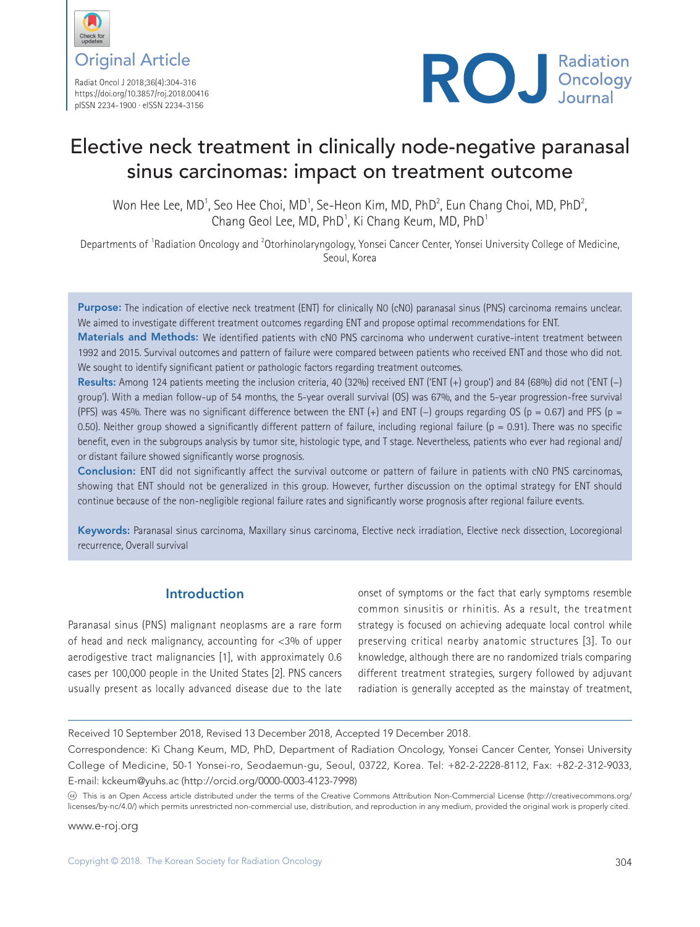

Radiat Oncol J 2018;36(4):304-316 https://doi.org/10.3857/roj.2018.00416 pISSN 2234-1900 · eISSN 2234-3156



# Elective neck treatment in clinically node-negative paranasal sinus carcinomas: impact on treatment outcome

Won Hee Lee, MD<sup>1</sup>, Seo Hee Choi, MD<sup>1</sup>, Se-Heon Kim, MD, PhD<sup>2</sup>, Eun Chang Choi, MD, PhD<sup>2</sup>, Chang Geol Lee, MD, PhD<sup>1</sup>, Ki Chang Keum, MD, PhD<sup>1</sup>

Departments of <sup>1</sup>Radiation Oncology and <sup>2</sup>Otorhinolaryngology, Yonsei Cancer Center, Yonsei University College of Medicine, Seoul, Korea

Purpose: The indication of elective neck treatment (ENT) for clinically N0 (cN0) paranasal sinus (PNS) carcinoma remains unclear. We aimed to investigate different treatment outcomes regarding ENT and propose optimal recommendations for ENT.

Materials and Methods: We identified patients with cN0 PNS carcinoma who underwent curative-intent treatment between 1992 and 2015. Survival outcomes and pattern of failure were compared between patients who received ENT and those who did not. We sought to identify significant patient or pathologic factors regarding treatment outcomes.

Results: Among 124 patients meeting the inclusion criteria, 40 (32%) received ENT ('ENT (+) group') and 84 (68%) did not ('ENT (−) group'). With a median follow-up of 54 months, the 5-year overall survival (OS) was 67%, and the 5-year progression-free survival (PFS) was 45%. There was no significant difference between the ENT (+) and ENT (−) groups regarding OS (p = 0.67) and PFS (p = 0.50). Neither group showed a significantly different pattern of failure, including regional failure ( $p = 0.91$ ). There was no specific benefit, even in the subgroups analysis by tumor site, histologic type, and T stage. Nevertheless, patients who ever had regional and/ or distant failure showed significantly worse prognosis.

Conclusion: ENT did not significantly affect the survival outcome or pattern of failure in patients with cN0 PNS carcinomas, showing that ENT should not be generalized in this group. However, further discussion on the optimal strategy for ENT should continue because of the non-negligible regional failure rates and significantly worse prognosis after regional failure events.

Keywords: Paranasal sinus carcinoma, Maxillary sinus carcinoma, Elective neck irradiation, Elective neck dissection, Locoregional recurrence, Overall survival

## **Introduction**

Paranasal sinus (PNS) malignant neoplasms are a rare form of head and neck malignancy, accounting for <3% of upper aerodigestive tract malignancies [1], with approximately 0.6 cases per 100,000 people in the United States [2]. PNS cancers usually present as locally advanced disease due to the late

onset of symptoms or the fact that early symptoms resemble common sinusitis or rhinitis. As a result, the treatment strategy is focused on achieving adequate local control while preserving critical nearby anatomic structures [3]. To our knowledge, although there are no randomized trials comparing different treatment strategies, surgery followed by adjuvant radiation is generally accepted as the mainstay of treatment,

Received 10 September 2018, Revised 13 December 2018, Accepted 19 December 2018.

Correspondence: Ki Chang Keum, MD, PhD, Department of Radiation Oncology, Yonsei Cancer Center, Yonsei University College of Medicine, 50-1 Yonsei-ro, Seodaemun-gu, Seoul, 03722, Korea. Tel: +82-2-2228-8112, Fax: +82-2-312-9033, E-mail: kckeum@yuhs.ac (http://orcid.org/0000-0003-4123-7998)

This is an Open Access article distributed under the terms of the Creative Commons Attribution Non-Commercial License (http://creativecommons.org/ licenses/by-nc/4.0/) which permits unrestricted non-commercial use, distribution, and reproduction in any medium, provided the original work is properly cited.

www.e-roj.org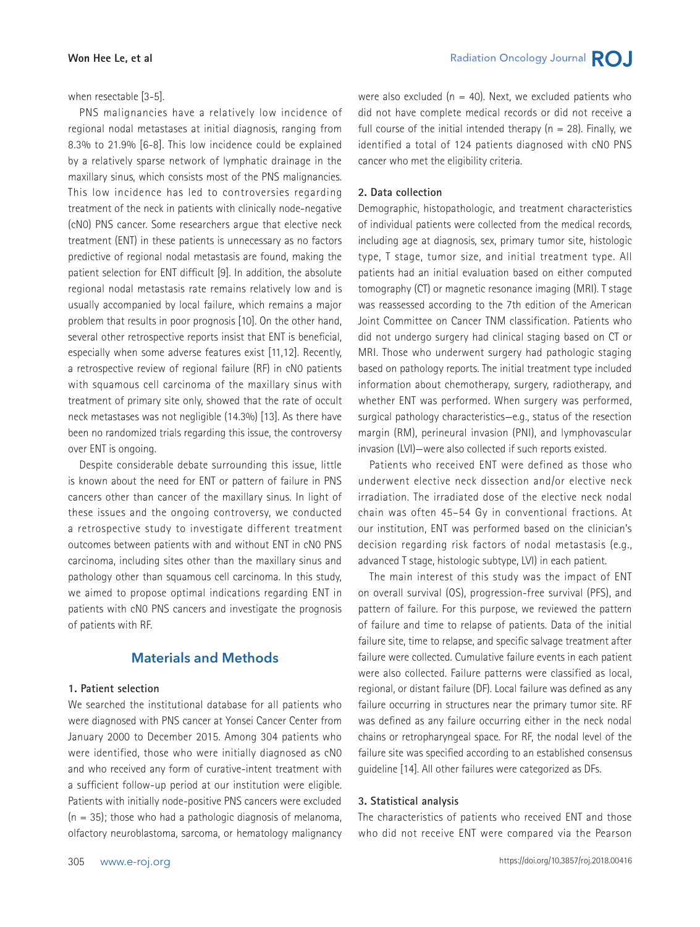when resectable [3-5].

PNS malignancies have a relatively low incidence of regional nodal metastases at initial diagnosis, ranging from 8.3% to 21.9% [6-8]. This low incidence could be explained by a relatively sparse network of lymphatic drainage in the maxillary sinus, which consists most of the PNS malignancies. This low incidence has led to controversies regarding treatment of the neck in patients with clinically node-negative (cN0) PNS cancer. Some researchers argue that elective neck treatment (ENT) in these patients is unnecessary as no factors predictive of regional nodal metastasis are found, making the patient selection for ENT difficult [9]. In addition, the absolute regional nodal metastasis rate remains relatively low and is usually accompanied by local failure, which remains a major problem that results in poor prognosis [10]. On the other hand, several other retrospective reports insist that ENT is beneficial, especially when some adverse features exist [11,12]. Recently, a retrospective review of regional failure (RF) in cN0 patients with squamous cell carcinoma of the maxillary sinus with treatment of primary site only, showed that the rate of occult neck metastases was not negligible (14.3%) [13]. As there have been no randomized trials regarding this issue, the controversy over ENT is ongoing.

Despite considerable debate surrounding this issue, little is known about the need for ENT or pattern of failure in PNS cancers other than cancer of the maxillary sinus. In light of these issues and the ongoing controversy, we conducted a retrospective study to investigate different treatment outcomes between patients with and without ENT in cN0 PNS carcinoma, including sites other than the maxillary sinus and pathology other than squamous cell carcinoma. In this study, we aimed to propose optimal indications regarding ENT in patients with cN0 PNS cancers and investigate the prognosis of patients with RF.

## **Materials and Methods**

#### **1. Patient selection**

We searched the institutional database for all patients who were diagnosed with PNS cancer at Yonsei Cancer Center from January 2000 to December 2015. Among 304 patients who were identified, those who were initially diagnosed as cN0 and who received any form of curative-intent treatment with a sufficient follow-up period at our institution were eligible. Patients with initially node-positive PNS cancers were excluded  $(n = 35)$ ; those who had a pathologic diagnosis of melanoma, olfactory neuroblastoma, sarcoma, or hematology malignancy were also excluded ( $n = 40$ ). Next, we excluded patients who did not have complete medical records or did not receive a full course of the initial intended therapy  $(n = 28)$ . Finally, we identified a total of 124 patients diagnosed with cN0 PNS cancer who met the eligibility criteria.

#### **2. Data collection**

Demographic, histopathologic, and treatment characteristics of individual patients were collected from the medical records, including age at diagnosis, sex, primary tumor site, histologic type, T stage, tumor size, and initial treatment type. All patients had an initial evaluation based on either computed tomography (CT) or magnetic resonance imaging (MRI). T stage was reassessed according to the 7th edition of the American Joint Committee on Cancer TNM classification. Patients who did not undergo surgery had clinical staging based on CT or MRI. Those who underwent surgery had pathologic staging based on pathology reports. The initial treatment type included information about chemotherapy, surgery, radiotherapy, and whether ENT was performed. When surgery was performed, surgical pathology characteristics—e.g., status of the resection margin (RM), perineural invasion (PNI), and lymphovascular invasion (LVI)—were also collected if such reports existed.

Patients who received ENT were defined as those who underwent elective neck dissection and/or elective neck irradiation. The irradiated dose of the elective neck nodal chain was often 45–54 Gy in conventional fractions. At our institution, ENT was performed based on the clinician's decision regarding risk factors of nodal metastasis (e.g., advanced T stage, histologic subtype, LVI) in each patient.

The main interest of this study was the impact of ENT on overall survival (OS), progression-free survival (PFS), and pattern of failure. For this purpose, we reviewed the pattern of failure and time to relapse of patients. Data of the initial failure site, time to relapse, and specific salvage treatment after failure were collected. Cumulative failure events in each patient were also collected. Failure patterns were classified as local, regional, or distant failure (DF). Local failure was defined as any failure occurring in structures near the primary tumor site. RF was defined as any failure occurring either in the neck nodal chains or retropharyngeal space. For RF, the nodal level of the failure site was specified according to an established consensus guideline [14]. All other failures were categorized as DFs.

#### **3. Statistical analysis**

The characteristics of patients who received ENT and those who did not receive ENT were compared via the Pearson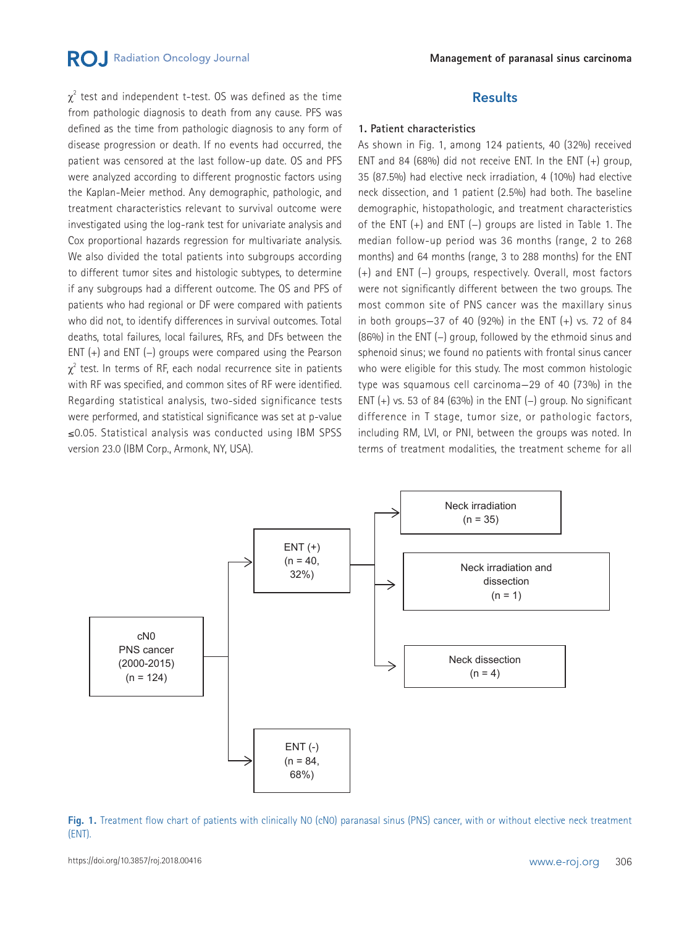## **RO.** Radiation Oncology Journal

 $\chi^2$  test and independent t-test. OS was defined as the time from pathologic diagnosis to death from any cause. PFS was defined as the time from pathologic diagnosis to any form of disease progression or death. If no events had occurred, the patient was censored at the last follow-up date. OS and PFS were analyzed according to different prognostic factors using the Kaplan-Meier method. Any demographic, pathologic, and treatment characteristics relevant to survival outcome were investigated using the log-rank test for univariate analysis and Cox proportional hazards regression for multivariate analysis. We also divided the total patients into subgroups according to different tumor sites and histologic subtypes, to determine if any subgroups had a different outcome. The OS and PFS of patients who had regional or DF were compared with patients who did not, to identify differences in survival outcomes. Total deaths, total failures, local failures, RFs, and DFs between the ENT (+) and ENT (−) groups were compared using the Pearson  $\chi^2$  test. In terms of RF, each nodal recurrence site in patients with RF was specified, and common sites of RF were identified. Regarding statistical analysis, two-sided significance tests were performed, and statistical significance was set at p-value ≤0.05. Statistical analysis was conducted using IBM SPSS version 23.0 (IBM Corp., Armonk, NY, USA).

### **Results**

#### **1. Patient characteristics**

As shown in Fig. 1, among 124 patients, 40 (32%) received ENT and 84 (68%) did not receive ENT. In the ENT (+) group, 35 (87.5%) had elective neck irradiation, 4 (10%) had elective neck dissection, and 1 patient (2.5%) had both. The baseline demographic, histopathologic, and treatment characteristics of the ENT (+) and ENT (−) groups are listed in Table 1. The median follow-up period was 36 months (range, 2 to 268 months) and 64 months (range, 3 to 288 months) for the ENT (+) and ENT (−) groups, respectively. Overall, most factors were not significantly different between the two groups. The most common site of PNS cancer was the maxillary sinus in both groups-37 of 40  $(92\%)$  in the ENT  $(+)$  vs. 72 of 84 (86%) in the ENT (−) group, followed by the ethmoid sinus and sphenoid sinus; we found no patients with frontal sinus cancer who were eligible for this study. The most common histologic type was squamous cell carcinoma—29 of 40 (73%) in the ENT  $(+)$  vs. 53 of 84 (63%) in the ENT  $(-)$  group. No significant difference in T stage, tumor size, or pathologic factors, including RM, LVI, or PNI, between the groups was noted. In terms of treatment modalities, the treatment scheme for all



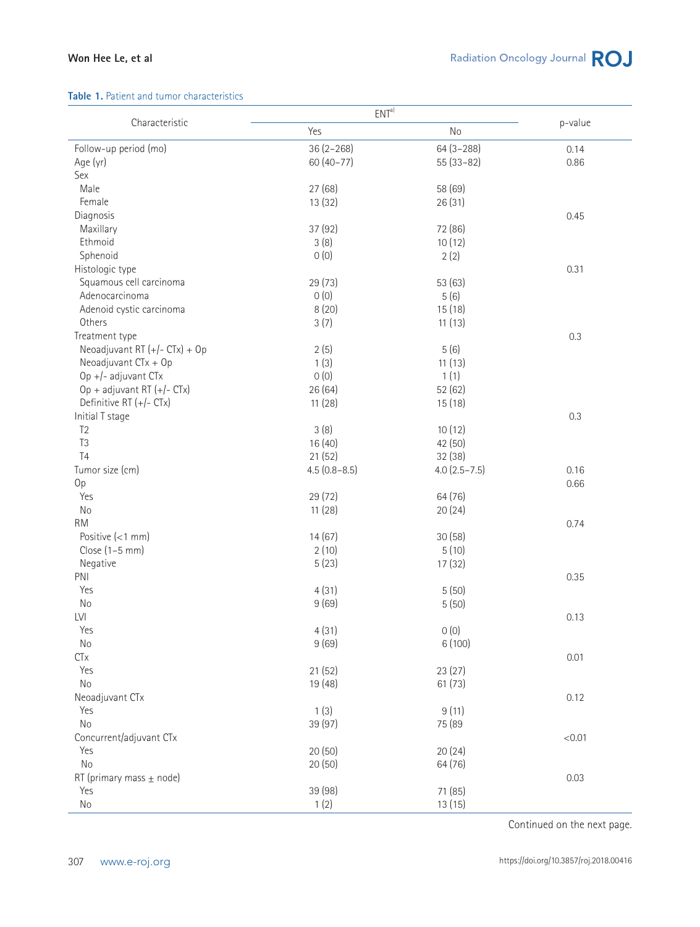#### **Table 1.** Patient and tumor characteristics

|                               | ENT <sup>a</sup> |                  |         |
|-------------------------------|------------------|------------------|---------|
| Characteristic                | Yes              | No               | p-value |
| Follow-up period (mo)         | $36(2 - 268)$    | $64(3 - 288)$    | 0.14    |
| Age (yr)                      | $60(40-77)$      | $55(33-82)$      | 0.86    |
| Sex                           |                  |                  |         |
| Male                          | 27(68)           | 58 (69)          |         |
| Female                        | 13 (32)          | 26(31)           |         |
| Diagnosis                     |                  |                  | 0.45    |
| Maxillary                     | 37 (92)          | 72 (86)          |         |
| Ethmoid                       | 3(8)             | 10(12)           |         |
| Sphenoid                      | 0(0)             | 2(2)             |         |
| Histologic type               |                  |                  | 0.31    |
| Squamous cell carcinoma       | 29(73)           | 53 (63)          |         |
| Adenocarcinoma                | 0(0)             | 5(6)             |         |
| Adenoid cystic carcinoma      | 8(20)            | 15(18)           |         |
| Others                        | 3(7)             | 11(13)           |         |
| Treatment type                |                  |                  | 0.3     |
| Neoadjuvant RT (+/- CTx) + Op | 2(5)             | 5(6)             |         |
| Neoadjuvant CTx + Op          | 1(3)             | 11(13)           |         |
| Op +/- adjuvant CTx           | 0(0)             | 1(1)             |         |
| Op + adjuvant RT (+/- CTx)    | 26(64)           | 52(62)           |         |
| Definitive RT (+/- CTx)       | 11(28)           | 15(18)           |         |
| Initial T stage               |                  |                  | 0.3     |
| T <sub>2</sub>                | 3(8)             | 10(12)           |         |
| T <sub>3</sub>                | 16(40)           | 42 (50)          |         |
| T <sub>4</sub>                | 21(52)           | 32 (38)          |         |
| Tumor size (cm)               | $4.5(0.8 - 8.5)$ | $4.0(2.5 - 7.5)$ | 0.16    |
| 0p                            |                  |                  | 0.66    |
| Yes                           | 29(72)           | 64 (76)          |         |
| No                            | 11(28)           | 20(24)           |         |
| <b>RM</b>                     |                  |                  | 0.74    |
| Positive $(< 1$ mm)           | 14(67)           | 30(58)           |         |
| Close (1-5 mm)                | 2(10)            | 5(10)            |         |
| Negative                      | 5(23)            | 17(32)           |         |
| PNI                           |                  |                  | 0.35    |
| Yes                           | 4(31)            | 5(50)            |         |
| No                            | 9(69)            | 5(50)            |         |
| LVI                           |                  |                  | 0.13    |
| Yes                           | 4(31)            | 0(0)             |         |
| $\rm No$                      | 9(69)            | 6 (100)          |         |
| <b>CTx</b>                    |                  |                  | 0.01    |
| Yes                           |                  |                  |         |
| $\rm No$                      | 21(52)           | 23(27)           |         |
|                               | 19 (48)          | 61(73)           |         |
| Neoadjuvant CTx               |                  |                  | 0.12    |
| Yes<br>No                     | 1(3)             | 9(11)            |         |
|                               | 39 (97)          | 75 (89           |         |
| Concurrent/adjuvant CTx       |                  |                  | < 0.01  |
| Yes                           | 20(50)           | 20(24)           |         |
| No                            | 20(50)           | 64 (76)          |         |
| RT (primary mass $\pm$ node)  |                  |                  | 0.03    |
| Yes                           | 39 (98)          | 71 (85)          |         |
| $\rm No$                      | 1(2)             | 13(15)           |         |

Continued on the next page.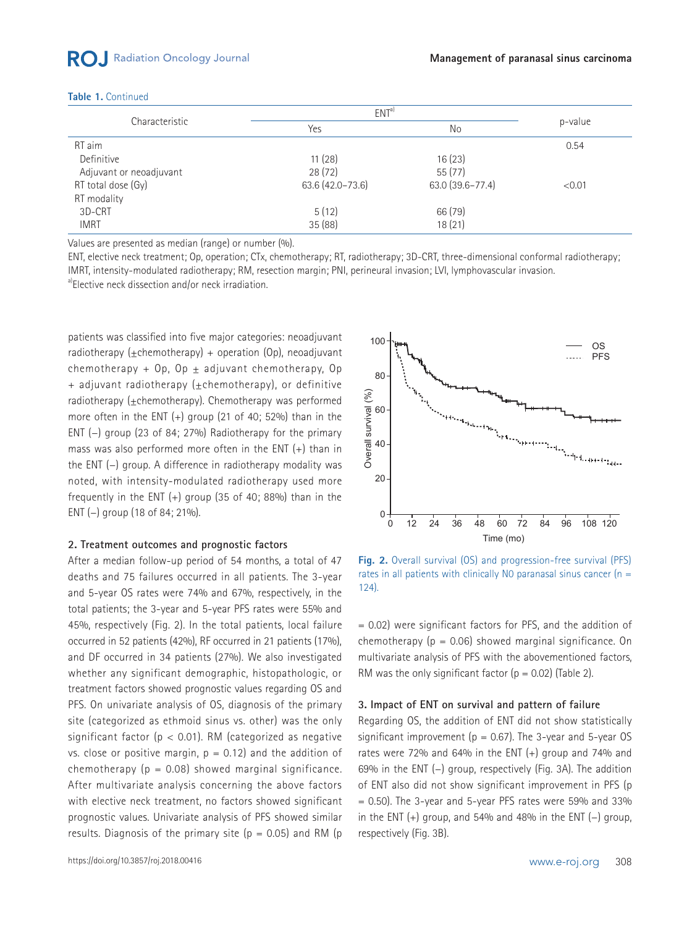#### **Table 1.** Continued

| Characteristic          | ENT <sup>a</sup> |                  |         |
|-------------------------|------------------|------------------|---------|
|                         | Yes              | No               | p-value |
| RT aim                  |                  |                  | 0.54    |
| Definitive              | 11(28)           | 16(23)           |         |
| Adjuvant or neoadjuvant | 28(72)           | 55(77)           |         |
| RT total dose (Gy)      | 63.6 (42.0-73.6) | 63.0 (39.6-77.4) | < 0.01  |
| RT modality             |                  |                  |         |
| 3D-CRT                  | 5(12)            | 66 (79)          |         |
| <b>IMRT</b>             | 35 (88)          | 18(21)           |         |

Values are presented as median (range) or number (%).

ENT, elective neck treatment; Op, operation; CTx, chemotherapy; RT, radiotherapy; 3D-CRT, three-dimensional conformal radiotherapy; IMRT, intensity-modulated radiotherapy; RM, resection margin; PNI, perineural invasion; LVI, lymphovascular invasion.

a)Elective neck dissection and/or neck irradiation.

patients was classified into five major categories: neoadjuvant radiotherapy (+chemotherapy) + operation  $(0p)$ , neoadjuvant chemotherapy + Op, Op  $\pm$  adjuvant chemotherapy, Op + adjuvant radiotherapy (±chemotherapy), or definitive radiotherapy (+chemotherapy). Chemotherapy was performed more often in the ENT (+) group (21 of 40; 52%) than in the ENT (−) group (23 of 84; 27%) Radiotherapy for the primary mass was also performed more often in the ENT (+) than in the ENT (−) group. A difference in radiotherapy modality was noted, with intensity-modulated radiotherapy used more frequently in the ENT  $(+)$  group (35 of 40; 88%) than in the ENT (−) group (18 of 84; 21%).

#### **2. Treatment outcomes and prognostic factors**

After a median follow-up period of 54 months, a total of 47 deaths and 75 failures occurred in all patients. The 3-year and 5-year OS rates were 74% and 67%, respectively, in the total patients; the 3-year and 5-year PFS rates were 55% and 45%, respectively (Fig. 2). In the total patients, local failure occurred in 52 patients (42%), RF occurred in 21 patients (17%), and DF occurred in 34 patients (27%). We also investigated whether any significant demographic, histopathologic, or treatment factors showed prognostic values regarding OS and PFS. On univariate analysis of OS, diagnosis of the primary site (categorized as ethmoid sinus vs. other) was the only significant factor ( $p < 0.01$ ). RM (categorized as negative vs. close or positive margin,  $p = 0.12$ ) and the addition of chemotherapy ( $p = 0.08$ ) showed marginal significance. After multivariate analysis concerning the above factors with elective neck treatment, no factors showed significant prognostic values. Univariate analysis of PFS showed similar results. Diagnosis of the primary site ( $p = 0.05$ ) and RM ( $p$ 



**Fig. 2.** Overall survival (OS) and progression-free survival (PFS) rates in all patients with clinically N0 paranasal sinus cancer ( $n =$  $124)$ .

= 0.02) were significant factors for PFS, and the addition of chemotherapy ( $p = 0.06$ ) showed marginal significance. On multivariate analysis of PFS with the abovementioned factors, RM was the only significant factor ( $p = 0.02$ ) (Table 2).

#### **3. Impact of ENT on survival and pattern of failure**

Regarding OS, the addition of ENT did not show statistically significant improvement ( $p = 0.67$ ). The 3-year and 5-year OS rates were 72% and 64% in the ENT (+) group and 74% and 69% in the ENT (−) group, respectively (Fig. 3A). The addition of ENT also did not show significant improvement in PFS (p  $= 0.50$ ). The 3-year and 5-year PFS rates were 59% and 33% in the ENT (+) group, and 54% and 48% in the ENT (−) group, respectively (Fig. 3B).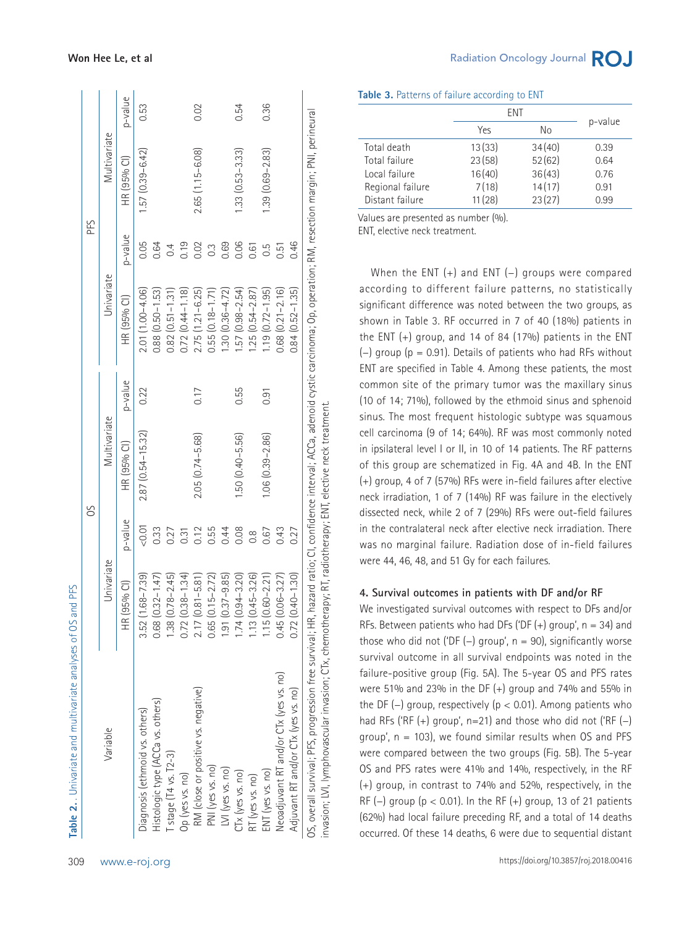|                                                                                                                                                                                                                                                                                                     |                      |               | SO                   |         |                        | PFS            |                     |         |
|-----------------------------------------------------------------------------------------------------------------------------------------------------------------------------------------------------------------------------------------------------------------------------------------------------|----------------------|---------------|----------------------|---------|------------------------|----------------|---------------------|---------|
| Variable                                                                                                                                                                                                                                                                                            | Univariate           |               | Multivariate         |         | Univariate             |                | Multivariate        |         |
|                                                                                                                                                                                                                                                                                                     | HR (95% Cl)          | p-value       | HR (95% Cl)          | p-value | HR (95% CI)            | p-value        | HR (95% Cl)         | p-value |
| Diagnosis (ethmoid vs. others)                                                                                                                                                                                                                                                                      | $3.52(1.68 - 7.39)$  | 0.01          | $2.87(0.54 - 15.32)$ | 0.22    | 2.01 (1.00-4.06)       | 0.05           | $1.57(0.39 - 6.42)$ | 0.53    |
| Histologic type (ACCa vs. others)                                                                                                                                                                                                                                                                   | $0.68(0.32 - 1.47)$  | 0.33          |                      |         | $0.88$ $(0.50 - 1.53)$ | 0.64           |                     |         |
| [stage [T4 vs. T2-3]                                                                                                                                                                                                                                                                                | $1.38(0.78 - 2.45)$  | 0.27          |                      |         | $0.82$ $(0.51 - 1.31)$ | 0.4            |                     |         |
| Op (yes vs. no)                                                                                                                                                                                                                                                                                     | $0.72(0.38 - 1.34)$  | 0.31          |                      |         | $0.72(0.44 - 1.18)$    | 0.19           |                     |         |
| RM (close or positive vs. negative)                                                                                                                                                                                                                                                                 | $2.17(0.81 - 5.81)$  | 0.12          | 2.05 (0.74-5.68)     | 0.17    | $2.75(1.21 - 6.25)$    | 0.02           | $2.65(1.15 - 6.08)$ | 0.02    |
| PNI (yes vs. no)                                                                                                                                                                                                                                                                                    | $0.65(0.15 - 2.72)$  | 0.55          |                      |         | $0.55(0.18 - 1.71)$    | $\overline{0}$ |                     |         |
| LVI (yes vs. no)                                                                                                                                                                                                                                                                                    | $1.91 (0.37 - 9.85)$ | 0.44          |                      |         | $1.30(0.36 - 4.72)$    | 0.69           |                     |         |
| $CTx$ (yes vs. no)                                                                                                                                                                                                                                                                                  | $1.74(0.94 - 3.20)$  | 0.08          | $1.50(0.40 - 5.56)$  | 0.55    | $1.57(0.98 - 2.54)$    | 0.06           | $1.33(0.53 - 3.33)$ | 0.54    |
| RT (yes vs. no)                                                                                                                                                                                                                                                                                     | $1.13(0.45 - 3.26)$  | $\frac{8}{2}$ |                      |         | $1.25(0.54 - 2.87)$    | 0.61           |                     |         |
| ENT (yes vs. no)                                                                                                                                                                                                                                                                                    | $1.15(0.60 - 2.21)$  | 0.67          | $1.06(0.39 - 2.86)$  | 0.91    | $1.19(0.72 - 1.95)$    | 0.5            | $1.39(0.69 - 2.83)$ | 0.36    |
| Neoadjuvant RT and/or CTx (yes vs. no)                                                                                                                                                                                                                                                              | $0.45(0.06 - 3.27)$  | 0.43          |                      |         | $0.68$ $(0.21 - 2.16)$ | 0.51           |                     |         |
| Adjuvant RT and/or CTx (yes vs. no)                                                                                                                                                                                                                                                                 | $0.72(0.40 - 1.30)$  | 0.27          |                      |         | $0.84(0.52 - 1.35)$    | 0.46           |                     |         |
| 0S, overall survival; PFS, progression free survival; HR, hazard ratio; CI, confidence interval; ACCa, adenoid cystic carcinoma; Op, operation; RM, resection margin; PNI, perineural<br>invasion; LVI, lymphovascular invasion; CTx, chemotherapy; RT, radiotherapy; ENT, elective neck treatment. |                      |               |                      |         |                        |                |                     |         |

|  |  |  | Table 3. Patterns of failure according to ENT |  |
|--|--|--|-----------------------------------------------|--|
|--|--|--|-----------------------------------------------|--|

|                  |        | <b>FNT</b> |         |
|------------------|--------|------------|---------|
|                  | Yes    | Nο         | p-value |
| Total death      | 13(33) | 34(40)     | 0.39    |
| Total failure    | 23(58) | 52(62)     | 0.64    |
| Local failure    | 16(40) | 36(43)     | 0.76    |
| Regional failure | 7(18)  | 14(17)     | 0.91    |
| Distant failure  | 11(28) | 23(27)     | 0.99    |

Values are presented as number (%).

ENT, elective neck treatment.

When the ENT (+) and ENT (−) groups were compared according to different failure patterns, no statistically significant difference was noted between the two groups, as shown in Table 3. RF occurred in 7 of 40 (18%) patients in the ENT  $(+)$  group, and 14 of 84 (17%) patients in the ENT (−) group (p = 0.91). Details of patients who had RFs without ENT are specified in Table 4. Among these patients, the most common site of the primary tumor was the maxillary sinus (10 of 14; 71%), followed by the ethmoid sinus and sphenoid sinus. The most frequent histologic subtype was squamous cell carcinoma (9 of 14; 64%). RF was most commonly noted in ipsilateral level I or II, in 10 of 14 patients. The RF patterns of this group are schematized in Fig. 4A and 4B. In the ENT (+) group, 4 of 7 (57%) RFs were in-field failures after elective neck irradiation, 1 of 7 (14%) RF was failure in the electively dissected neck, while 2 of 7 (29%) RFs were out-field failures in the contralateral neck after elective neck irradiation. There was no marginal failure. Radiation dose of in-field failures were 44, 46, 48, and 51 Gy for each failures.

#### **4. Survival outcomes in patients with DF and/or RF**

We investigated survival outcomes with respect to DFs and/or RFs. Between patients who had DFs ('DF  $(+)$  group',  $n = 34$ ) and those who did not ('DF  $(-)$  group', n = 90), significantly worse survival outcome in all survival endpoints was noted in the failure-positive group (Fig. 5A). The 5-year OS and PFS rates were 51% and 23% in the DF  $(+)$  group and 74% and 55% in the DF ( $-$ ) group, respectively ( $p < 0.01$ ). Among patients who had RFs ('RF  $(+)$  group', n=21) and those who did not ('RF  $(-)$ group',  $n = 103$ ), we found similar results when OS and PFS were compared between the two groups (Fig. 5B). The 5-year OS and PFS rates were 41% and 14%, respectively, in the RF (+) group, in contrast to 74% and 52%, respectively, in the RF (-) group ( $p < 0.01$ ). In the RF (+) group, 13 of 21 patients (62%) had local failure preceding RF, and a total of 14 deaths occurred. Of these 14 deaths, 6 were due to sequential distant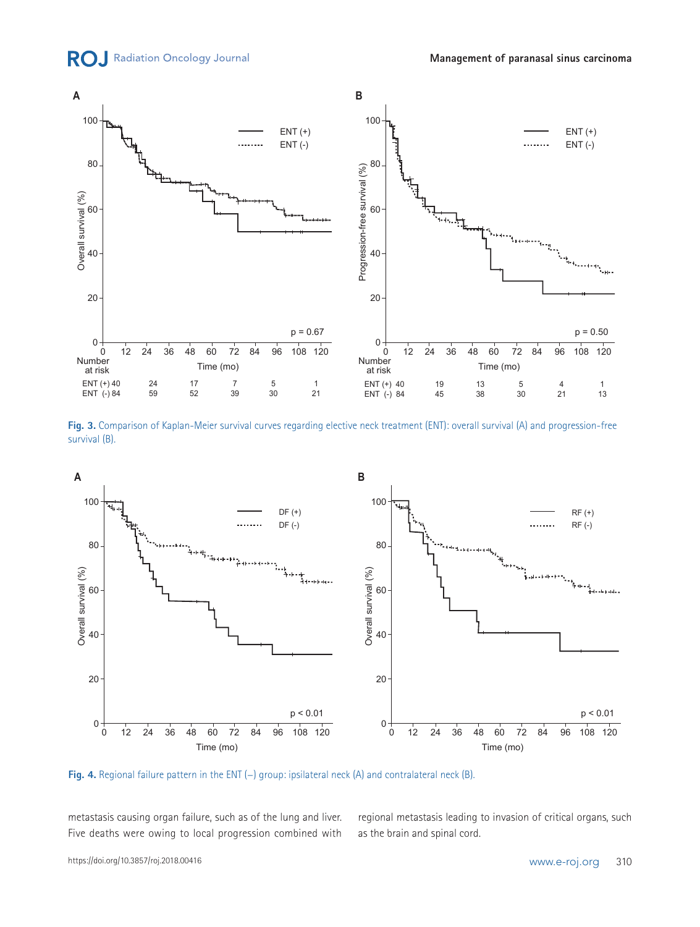



**Fig. 3.** Comparison of Kaplan-Meier survival curves regarding elective neck treatment (ENT): overall survival (A) and progression-free survival (B).



**Fig. 4.** Regional failure pattern in the ENT (−) group: ipsilateral neck (A) and contralateral neck (B).

metastasis causing organ failure, such as of the lung and liver. Five deaths were owing to local progression combined with regional metastasis leading to invasion of critical organs, such as the brain and spinal cord.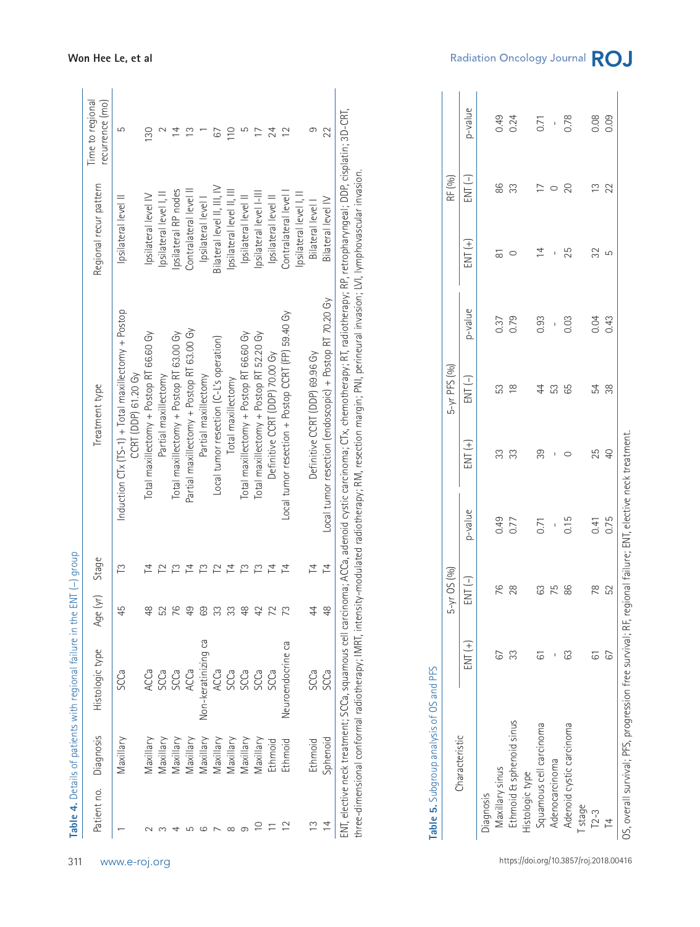| $\infty$<br>$\circ$<br>ഥ<br>4<br>$\overline{\phantom{0}}$ | Maxillary<br>Maxillary<br>Maxillary<br>Maxillary | SCCa                                     |                                   |                  |                                                         |                            | Treatment type                                     |             | Regional recur pattern      |                | recurrence (mo) |
|-----------------------------------------------------------|--------------------------------------------------|------------------------------------------|-----------------------------------|------------------|---------------------------------------------------------|----------------------------|----------------------------------------------------|-------------|-----------------------------|----------------|-----------------|
|                                                           |                                                  |                                          | 45                                | Ľ                |                                                         | <b>CCRT (DDP) 61.20 Gy</b> | Induction CTx (TS-1) + Total maxillectomy + Postop |             | psilateral level            |                | 5               |
|                                                           |                                                  | ACCa                                     | 48                                | 츠                |                                                         |                            | Total maxillectomy + Postop RT 66.60 Gy            |             | Ipsilateral level IV        |                | 130             |
|                                                           |                                                  | SCCa                                     | 52                                | $\mathbb{C}$     |                                                         | Partial maxillectomy       |                                                    |             | Ipsilateral level I, II     |                |                 |
|                                                           |                                                  | SCCa                                     | 76                                | r                |                                                         |                            | Total maxillectomy + Postop RT 63.00 Gy            |             | psilateral RP nodes         |                | $\overline{4}$  |
|                                                           | Maxillary                                        | ACCa                                     | $\overline{49}$                   | $\overline{4}$   |                                                         |                            | Partial maxillectomy + Postop RT 63.00 Gy          |             | Contralateral level II      |                | $\frac{3}{2}$   |
|                                                           | Maxillary                                        | Non-keratinizing ca                      | 69                                | $\tilde{\Gamma}$ |                                                         | Partial maxillectomy       |                                                    |             | Ipsilateral level           |                |                 |
|                                                           | Maxillary                                        | ACCa                                     | 33                                | $\mathbf{r}$     |                                                         |                            | Local tumor resection (C-L's operation)            |             | Bilateral level II, III, IV |                | 67              |
|                                                           | Maxillary                                        | SCCa                                     | 33                                | $\overline{z}$   |                                                         | Total maxillectomy         |                                                    |             | Ipsilateral level II, III   |                | $\approx$       |
| $\infty$                                                  | Maxillary                                        | SCCa                                     | $\frac{8}{4}$                     | $\tilde{\Gamma}$ |                                                         |                            | Total maxillectomy + Postop RT 66.60 Gy            |             | Ipsilateral level II        |                | LO              |
| $\subseteq$                                               | Maxillary                                        | SCCa                                     | 42                                | $\tilde{\Gamma}$ |                                                         |                            | Total maxillectomy + Postop RT 52.20 Gy            |             | psilateral level I-III      |                | $\overline{17}$ |
| $\leftarrow$                                              | Ethmoid                                          | SCCa                                     | 72                                | 卢                |                                                         |                            | Definitive CCRT (DDP) 70.00 Gy                     |             | Ipsilateral level II        |                | 24              |
| $\approx$                                                 | Ethmoid                                          | Neuroendocrine ca                        | 73                                | 74               |                                                         |                            | Local tumor resection + Postop CCRT (FP) 59.40 Gy  |             | Contralateral level I       |                | $\overline{c}$  |
|                                                           |                                                  |                                          |                                   |                  |                                                         |                            |                                                    |             | Ipsilateral level I, II     |                |                 |
| $\tilde{c}$                                               | Ethmoid                                          | SCCa                                     | $\overline{4}$                    | 4                |                                                         |                            | Definitive CCRT (DDP) 69.96 Gy                     |             | Bilateral level I           |                | 9               |
| $\overline{4}$                                            | Sphenoid                                         | SCCa                                     | $\frac{8}{3}$                     | $\overline{4}$   | Local tumor resection (endoscopic) + Postop RT 70.20 Gy |                            |                                                    |             | Bilateral level IV          |                | 22              |
|                                                           | Characteristic                                   | Table 5. Subgroup analysis of OS and PFS | بَ<br>م                           | $\mu$ OS (%)     |                                                         |                            | $5-yr$ PFS $(96)$                                  |             |                             | RF (%)         |                 |
|                                                           |                                                  | $ENT(+)$                                 | $\overline{ENT}$ $\overline{(-)}$ |                  | p-value                                                 | $FNT(+)$                   | $FNT(-)$                                           | p-value     | $ENT (+)$                   | $FNT(-)$       | p-value         |
| Diagnosis                                                 |                                                  |                                          |                                   |                  |                                                         |                            |                                                    |             |                             |                |                 |
| Maxillary sinus                                           |                                                  | 67                                       | 76                                |                  | 0.49                                                    | 33                         | 53                                                 | 0.37        | $\overline{\circ}$          | 86             | 0.49            |
|                                                           | Ethmoid & sphenoid sinus                         | 33                                       | 28                                |                  | 0.77                                                    | 33                         | $\frac{8}{1}$                                      | 0.79        | $\circ$                     | 33             | 0.24            |
| Histologic type                                           |                                                  |                                          |                                   |                  |                                                         |                            |                                                    |             |                             |                |                 |
|                                                           | Squamous cell carcinoma                          | 61                                       | 63                                |                  | 0.71                                                    | 39                         | 44                                                 | 0.93        | $\overline{4}$              | $\overline{1}$ | 0.71            |
| Adenocarcinoma                                            |                                                  | $\mathsf I$                              | 75                                |                  | $\mathsf I$                                             | $\mathsf I$                | 53                                                 | $\mathbf I$ | $\,$ I                      | $\circ$        | $\,$ $\,$       |
|                                                           | Adenoid cystic carcinoma                         | 63                                       | 86                                |                  | 0.15                                                    | $\circ$                    | 65                                                 | 0.03        | 25                          | 20             | 0.78            |
| T stage                                                   |                                                  |                                          |                                   |                  |                                                         |                            |                                                    |             |                             |                |                 |
| $T2-3$                                                    |                                                  | $\overleftarrow{G}$                      | 78                                |                  | 0.41                                                    | 25                         | 54                                                 | 0.04        | 32                          | $\frac{3}{2}$  | 0.08            |
|                                                           |                                                  | 67                                       | 52                                |                  | 0.75                                                    | $\overline{+}$             | 38                                                 | 0.43        | 5                           | 22             | 0.09            |

| r<br>C              |  |
|---------------------|--|
| てらく                 |  |
| ֚֓<br>י             |  |
|                     |  |
|                     |  |
| ֞֝֝֝֝<br>׆<br>׆     |  |
| <b>תורחיות</b><br>l |  |
| 5                   |  |
|                     |  |

| Characteristic           |    | $-yr$ OS $(96)$<br>LN |                    |                | 5-yr PFS (%)                                                                       |                  |                    | RF (%)           |                  |
|--------------------------|----|-----------------------|--------------------|----------------|------------------------------------------------------------------------------------|------------------|--------------------|------------------|------------------|
|                          | 王子 | $ENT(-)$              | p-value            | $ENT (+)$      | $\begin{array}{c} \text{ENT} \end{array} \begin{array}{c} \\ \text{-} \end{array}$ | p-value          | $ENT(+)$           | $ENT(-)$         | p-value          |
| Diagnosis                |    |                       |                    |                |                                                                                    |                  |                    |                  |                  |
| Maxillary sinus          | 67 |                       | 0.49<br>0.77       | 33             | 53<br>18                                                                           | 0.37             | $\overline{\circ}$ | 86               | $0.49$<br>$0.24$ |
| Ethmoid & sphenoid sinus | 33 | <b>76</b><br>28       |                    |                |                                                                                    |                  | $\circ$            | 33               |                  |
| Histologic type          |    |                       |                    |                |                                                                                    |                  |                    |                  |                  |
| Squamous cell carcinoma  | 6  | 83                    |                    | 39             | 44                                                                                 | 0.93             | $\overline{4}$     | $\overline{C}$ o |                  |
| Adenocarcinoma           |    | 75                    | $0.71$<br>$- 0.15$ |                | 53                                                                                 | $\frac{1}{0.03}$ | I                  |                  | $0.71$<br>$- 78$ |
| Adenoid cystic carcinoma | යි | 86                    |                    | $\circ$        | 65                                                                                 |                  | 25                 | 20               |                  |
| T stage                  |    |                       |                    |                |                                                                                    |                  |                    |                  |                  |
| $T2 - 3$                 | 61 | 78                    |                    | 25             | 54                                                                                 | $0.04$<br>0.43   | 32                 |                  | 0.09             |
| 14                       | 67 | 52                    | $0.41$<br>$0.75$   | $\overline{P}$ | 38                                                                                 |                  | 5                  | 13/2             |                  |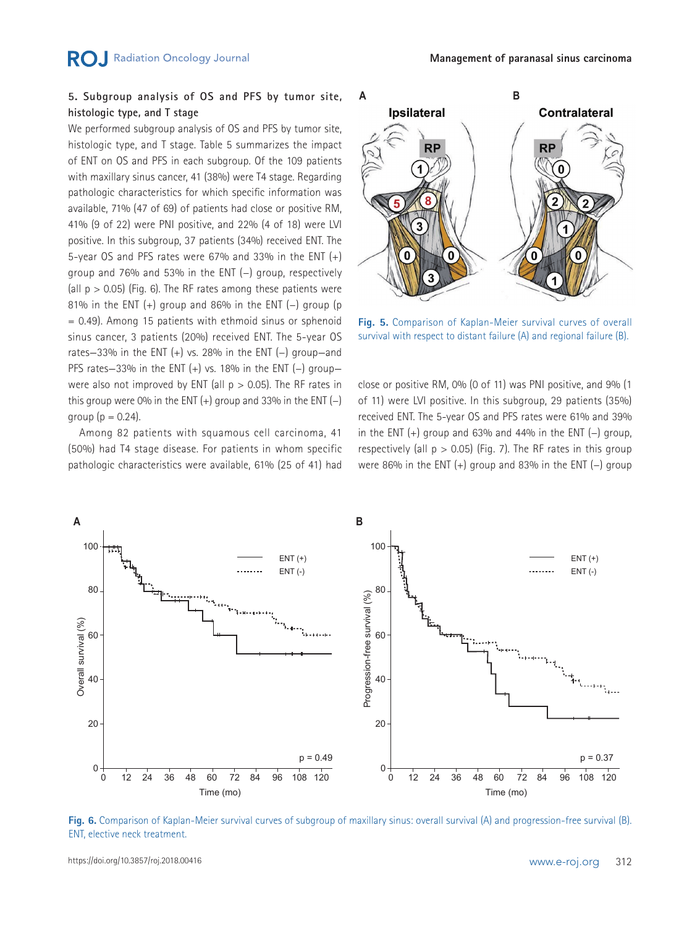## **5. Subgroup analysis of OS and PFS by tumor site, histologic type, and T stage**

We performed subgroup analysis of OS and PFS by tumor site. histologic type, and T stage. Table 5 summarizes the impact of ENT on OS and PFS in each subgroup. Of the 109 patients with maxillary sinus cancer, 41 (38%) were T4 stage. Regarding pathologic characteristics for which specific information was available, 71% (47 of 69) of patients had close or positive RM, 41% (9 of 22) were PNI positive, and 22% (4 of 18) were LVI positive. In this subgroup, 37 patients (34%) received ENT. The 5-year OS and PFS rates were 67% and 33% in the ENT  $(+)$ group and 76% and 53% in the ENT (−) group, respectively (all  $p > 0.05$ ) (Fig. 6). The RF rates among these patients were 81% in the ENT (+) group and 86% in the ENT (−) group (p = 0.49). Among 15 patients with ethmoid sinus or sphenoid sinus cancer, 3 patients (20%) received ENT. The 5-year OS rates—33% in the ENT (+) vs. 28% in the ENT (−) group—and PFS rates-33% in the ENT (+) vs. 18% in the ENT (-) groupwere also not improved by ENT (all  $p > 0.05$ ). The RF rates in this group were 0% in the ENT  $(+)$  group and 33% in the ENT  $(-)$ aroup ( $p = 0.24$ ).

Among 82 patients with squamous cell carcinoma, 41 (50%) had T4 stage disease. For patients in whom specific pathologic characteristics were available, 61% (25 of 41) had



**Fig. 5.** Comparison of Kaplan-Meier survival curves of overall survival with respect to distant failure (A) and regional failure (B).

close or positive RM, 0% (0 of 11) was PNI positive, and 9% (1 of 11) were LVI positive. In this subgroup, 29 patients (35%) received ENT. The 5-year OS and PFS rates were 61% and 39% in the ENT  $(+)$  group and 63% and 44% in the ENT  $(-)$  group, respectively (all  $p > 0.05$ ) (Fig. 7). The RF rates in this group were 86% in the ENT (+) group and 83% in the ENT (−) group



**Fig. 6.** Comparison of Kaplan-Meier survival curves of subgroup of maxillary sinus: overall survival (A) and progression-free survival (B). ENT, elective neck treatment.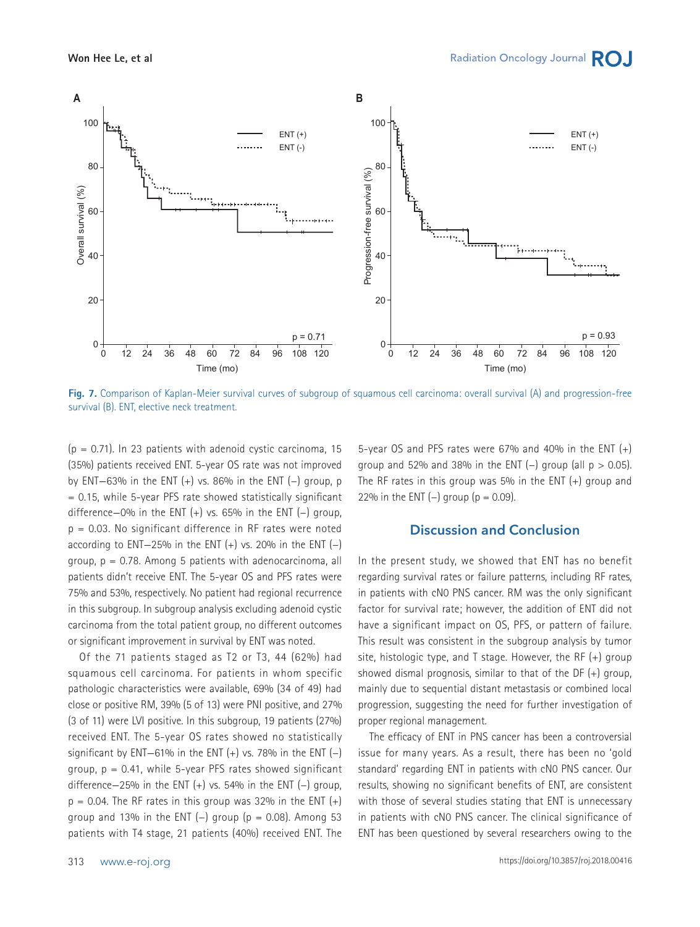

**Fig. 7.** Comparison of Kaplan-Meier survival curves of subgroup of squamous cell carcinoma: overall survival (A) and progression-free survival (B). ENT, elective neck treatment.

 $(p = 0.71)$ . In 23 patients with adenoid cystic carcinoma, 15 (35%) patients received ENT. 5-year OS rate was not improved by ENT—63% in the ENT (+) vs. 86% in the ENT (−) group, p  $= 0.15$ , while 5-year PFS rate showed statistically significant difference—0% in the ENT (+) vs. 65% in the ENT (−) group,  $p = 0.03$ . No significant difference in RF rates were noted according to ENT-25% in the ENT  $(+)$  vs. 20% in the ENT  $(-)$ group, p = 0.78. Among 5 patients with adenocarcinoma, all patients didn't receive ENT. The 5-year OS and PFS rates were 75% and 53%, respectively. No patient had regional recurrence in this subgroup. In subgroup analysis excluding adenoid cystic carcinoma from the total patient group, no different outcomes or significant improvement in survival by ENT was noted.

Of the 71 patients staged as T2 or T3, 44 (62%) had squamous cell carcinoma. For patients in whom specific pathologic characteristics were available, 69% (34 of 49) had close or positive RM, 39% (5 of 13) were PNI positive, and 27% (3 of 11) were LVI positive. In this subgroup, 19 patients (27%) received ENT. The 5-year OS rates showed no statistically significant by ENT-61% in the ENT  $(+)$  vs. 78% in the ENT  $(-)$ group,  $p = 0.41$ , while 5-year PFS rates showed significant difference–25% in the ENT  $(+)$  vs. 54% in the ENT  $(-)$  group,  $p = 0.04$ . The RF rates in this group was 32% in the ENT  $(+)$ group and 13% in the ENT (-) group ( $p = 0.08$ ). Among 53 patients with T4 stage, 21 patients (40%) received ENT. The

5-year OS and PFS rates were 67% and 40% in the ENT  $(+)$ group and 52% and 38% in the ENT (-) group (all  $p > 0.05$ ). The RF rates in this group was 5% in the ENT (+) group and 22% in the ENT  $(-)$  group  $(p = 0.09)$ .

### **Discussion and Conclusion**

In the present study, we showed that ENT has no benefit regarding survival rates or failure patterns, including RF rates, in patients with cN0 PNS cancer. RM was the only significant factor for survival rate; however, the addition of ENT did not have a significant impact on OS, PFS, or pattern of failure. This result was consistent in the subgroup analysis by tumor site, histologic type, and T stage. However, the RF (+) group showed dismal prognosis, similar to that of the DF (+) group, mainly due to sequential distant metastasis or combined local progression, suggesting the need for further investigation of proper regional management.

The efficacy of ENT in PNS cancer has been a controversial issue for many years. As a result, there has been no 'gold standard' regarding ENT in patients with cN0 PNS cancer. Our results, showing no significant benefits of ENT, are consistent with those of several studies stating that ENT is unnecessary in patients with cN0 PNS cancer. The clinical significance of ENT has been questioned by several researchers owing to the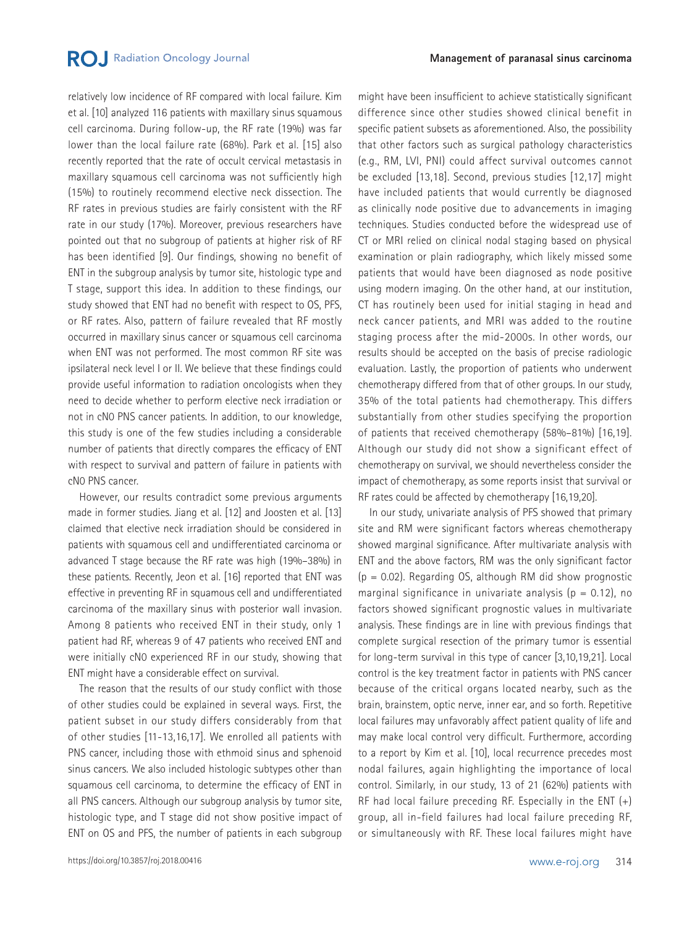## **RO.** Radiation Oncology Journal

relatively low incidence of RF compared with local failure. Kim et al. [10] analyzed 116 patients with maxillary sinus squamous cell carcinoma. During follow-up, the RF rate (19%) was far lower than the local failure rate (68%). Park et al. [15] also recently reported that the rate of occult cervical metastasis in maxillary squamous cell carcinoma was not sufficiently high (15%) to routinely recommend elective neck dissection. The RF rates in previous studies are fairly consistent with the RF rate in our study (17%). Moreover, previous researchers have pointed out that no subgroup of patients at higher risk of RF has been identified [9]. Our findings, showing no benefit of ENT in the subgroup analysis by tumor site, histologic type and T stage, support this idea. In addition to these findings, our study showed that ENT had no benefit with respect to OS, PFS, or RF rates. Also, pattern of failure revealed that RF mostly occurred in maxillary sinus cancer or squamous cell carcinoma when ENT was not performed. The most common RF site was ipsilateral neck level I or II. We believe that these findings could provide useful information to radiation oncologists when they need to decide whether to perform elective neck irradiation or not in cN0 PNS cancer patients. In addition, to our knowledge, this study is one of the few studies including a considerable number of patients that directly compares the efficacy of ENT with respect to survival and pattern of failure in patients with cN0 PNS cancer.

However, our results contradict some previous arguments made in former studies. Jiang et al. [12] and Joosten et al. [13] claimed that elective neck irradiation should be considered in patients with squamous cell and undifferentiated carcinoma or advanced T stage because the RF rate was high (19%–38%) in these patients. Recently, Jeon et al. [16] reported that ENT was effective in preventing RF in squamous cell and undifferentiated carcinoma of the maxillary sinus with posterior wall invasion. Among 8 patients who received ENT in their study, only 1 patient had RF, whereas 9 of 47 patients who received ENT and were initially cN0 experienced RF in our study, showing that ENT might have a considerable effect on survival.

The reason that the results of our study conflict with those of other studies could be explained in several ways. First, the patient subset in our study differs considerably from that of other studies [11-13,16,17]. We enrolled all patients with PNS cancer, including those with ethmoid sinus and sphenoid sinus cancers. We also included histologic subtypes other than squamous cell carcinoma, to determine the efficacy of ENT in all PNS cancers. Although our subgroup analysis by tumor site, histologic type, and T stage did not show positive impact of ENT on OS and PFS, the number of patients in each subgroup might have been insufficient to achieve statistically significant difference since other studies showed clinical benefit in specific patient subsets as aforementioned. Also, the possibility that other factors such as surgical pathology characteristics (e.g., RM, LVI, PNI) could affect survival outcomes cannot be excluded [13,18]. Second, previous studies [12,17] might have included patients that would currently be diagnosed as clinically node positive due to advancements in imaging techniques. Studies conducted before the widespread use of CT or MRI relied on clinical nodal staging based on physical examination or plain radiography, which likely missed some patients that would have been diagnosed as node positive using modern imaging. On the other hand, at our institution, CT has routinely been used for initial staging in head and neck cancer patients, and MRI was added to the routine staging process after the mid-2000s. In other words, our results should be accepted on the basis of precise radiologic evaluation. Lastly, the proportion of patients who underwent chemotherapy differed from that of other groups. In our study, 35% of the total patients had chemotherapy. This differs substantially from other studies specifying the proportion of patients that received chemotherapy (58%–81%) [16,19]. Although our study did not show a significant effect of chemotherapy on survival, we should nevertheless consider the impact of chemotherapy, as some reports insist that survival or RF rates could be affected by chemotherapy [16,19,20].

In our study, univariate analysis of PFS showed that primary site and RM were significant factors whereas chemotherapy showed marginal significance. After multivariate analysis with ENT and the above factors, RM was the only significant factor  $(p = 0.02)$ . Regarding OS, although RM did show prognostic marginal significance in univariate analysis ( $p = 0.12$ ), no factors showed significant prognostic values in multivariate analysis. These findings are in line with previous findings that complete surgical resection of the primary tumor is essential for long-term survival in this type of cancer [3,10,19,21]. Local control is the key treatment factor in patients with PNS cancer because of the critical organs located nearby, such as the brain, brainstem, optic nerve, inner ear, and so forth. Repetitive local failures may unfavorably affect patient quality of life and may make local control very difficult. Furthermore, according to a report by Kim et al. [10], local recurrence precedes most nodal failures, again highlighting the importance of local control. Similarly, in our study, 13 of 21 (62%) patients with RF had local failure preceding RF. Especially in the ENT (+) group, all in-field failures had local failure preceding RF, or simultaneously with RF. These local failures might have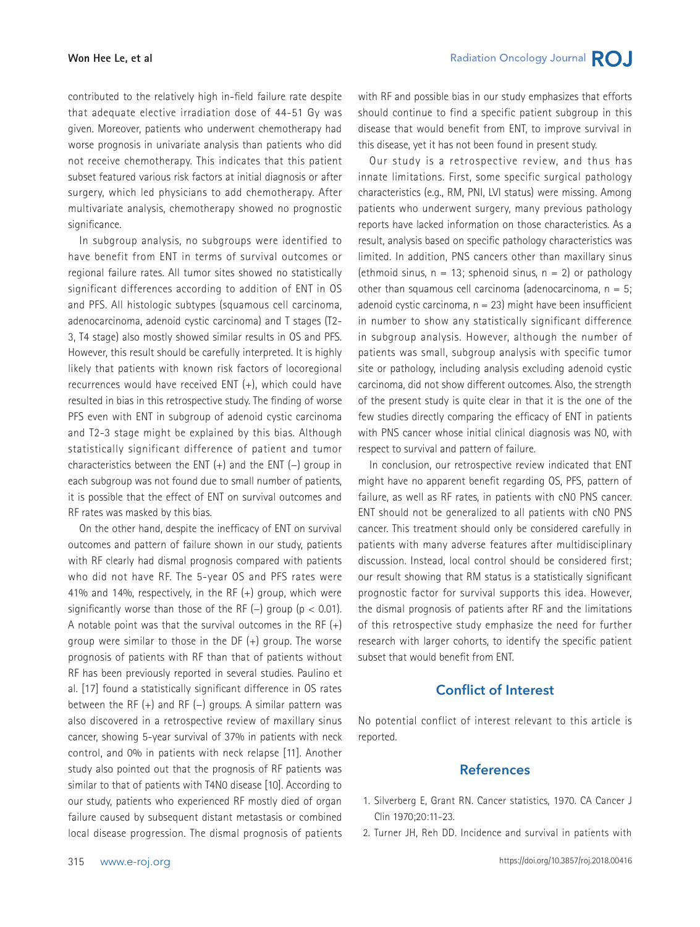contributed to the relatively high in-field failure rate despite that adequate elective irradiation dose of 44-51 Gy was given. Moreover, patients who underwent chemotherapy had worse prognosis in univariate analysis than patients who did not receive chemotherapy. This indicates that this patient subset featured various risk factors at initial diagnosis or after surgery, which led physicians to add chemotherapy. After multivariate analysis, chemotherapy showed no prognostic significance.

In subgroup analysis, no subgroups were identified to have benefit from ENT in terms of survival outcomes or regional failure rates. All tumor sites showed no statistically significant differences according to addition of ENT in OS and PFS. All histologic subtypes (squamous cell carcinoma, adenocarcinoma, adenoid cystic carcinoma) and T stages (T2- 3, T4 stage) also mostly showed similar results in OS and PFS. However, this result should be carefully interpreted. It is highly likely that patients with known risk factors of locoregional recurrences would have received ENT (+), which could have resulted in bias in this retrospective study. The finding of worse PFS even with ENT in subgroup of adenoid cystic carcinoma and T2-3 stage might be explained by this bias. Although statistically significant difference of patient and tumor characteristics between the ENT (+) and the ENT (−) group in each subgroup was not found due to small number of patients, it is possible that the effect of ENT on survival outcomes and RF rates was masked by this bias.

On the other hand, despite the inefficacy of ENT on survival outcomes and pattern of failure shown in our study, patients with RF clearly had dismal prognosis compared with patients who did not have RF. The 5-year OS and PFS rates were 41% and 14%, respectively, in the RF (+) group, which were significantly worse than those of the RF  $(-)$  group (p < 0.01). A notable point was that the survival outcomes in the RF  $(+)$ group were similar to those in the DF (+) group. The worse prognosis of patients with RF than that of patients without RF has been previously reported in several studies. Paulino et al. [17] found a statistically significant difference in OS rates between the RF (+) and RF (−) groups. A similar pattern was also discovered in a retrospective review of maxillary sinus cancer, showing 5-year survival of 37% in patients with neck control, and 0% in patients with neck relapse [11]. Another study also pointed out that the prognosis of RF patients was similar to that of patients with T4N0 disease [10]. According to our study, patients who experienced RF mostly died of organ failure caused by subsequent distant metastasis or combined local disease progression. The dismal prognosis of patients

with RF and possible bias in our study emphasizes that efforts should continue to find a specific patient subgroup in this disease that would benefit from ENT, to improve survival in this disease, yet it has not been found in present study.

Our study is a retrospective review, and thus has innate limitations. First, some specific surgical pathology characteristics (e.g., RM, PNI, LVI status) were missing. Among patients who underwent surgery, many previous pathology reports have lacked information on those characteristics. As a result, analysis based on specific pathology characteristics was limited. In addition, PNS cancers other than maxillary sinus (ethmoid sinus,  $n = 13$ ; sphenoid sinus,  $n = 2$ ) or pathology other than squamous cell carcinoma (adenocarcinoma,  $n = 5$ ; adenoid cystic carcinoma,  $n = 23$ ) might have been insufficient in number to show any statistically significant difference in subgroup analysis. However, although the number of patients was small, subgroup analysis with specific tumor site or pathology, including analysis excluding adenoid cystic carcinoma, did not show different outcomes. Also, the strength of the present study is quite clear in that it is the one of the few studies directly comparing the efficacy of ENT in patients with PNS cancer whose initial clinical diagnosis was N0, with respect to survival and pattern of failure.

In conclusion, our retrospective review indicated that ENT might have no apparent benefit regarding OS, PFS, pattern of failure, as well as RF rates, in patients with cN0 PNS cancer. ENT should not be generalized to all patients with cN0 PNS cancer. This treatment should only be considered carefully in patients with many adverse features after multidisciplinary discussion. Instead, local control should be considered first; our result showing that RM status is a statistically significant prognostic factor for survival supports this idea. However, the dismal prognosis of patients after RF and the limitations of this retrospective study emphasize the need for further research with larger cohorts, to identify the specific patient subset that would benefit from ENT.

## **Conflict of Interest**

No potential conflict of interest relevant to this article is reported.

## **References**

- 1. Silverberg E, Grant RN. Cancer statistics, 1970. CA Cancer J Clin 1970;20:11-23.
- 2. Turner JH, Reh DD. Incidence and survival in patients with